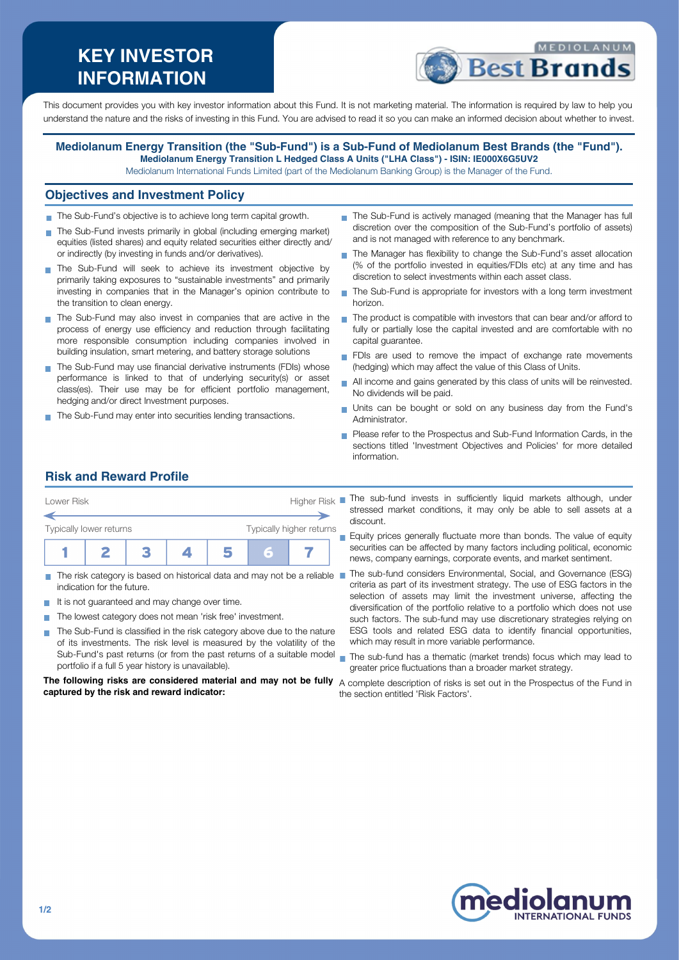# **KEY INVESTOR INFORMATION**



This document provides you with key investor information about this Fund. It is not marketing material. The information is required by law to help you understand the nature and the risks of investing in this Fund. You are advised to read it so you can make an informed decision about whether to invest.

### **Mediolanum Energy Transition (the "Sub-Fund") is a Sub-Fund of Mediolanum Best Brands (the "Fund"). Mediolanum Energy Transition L Hedged Class A Units ("LHA Class") - ISIN: IE000X6G5UV2**

Mediolanum International Funds Limited (part of the Mediolanum Banking Group) is the Manager of the Fund.

### **Objectives and Investment Policy**

- The Sub-Fund's objective is to achieve long term capital growth.
- The Sub-Fund invests primarily in global (including emerging market) equities (listed shares) and equity related securities either directly and/ or indirectly (by investing in funds and/or derivatives).
- The Sub-Fund will seek to achieve its investment objective by primarily taking exposures to "sustainable investments" and primarily investing in companies that in the Manager's opinion contribute to the transition to clean energy.
- The Sub-Fund may also invest in companies that are active in the process of energy use efficiency and reduction through facilitating more responsible consumption including companies involved in building insulation, smart metering, and battery storage solutions
- The Sub-Fund may use financial derivative instruments (FDIs) whose performance is linked to that of underlying security(s) or asset class(es). Their use may be for efficient portfolio management, hedging and/or direct Investment purposes.
- The Sub-Fund may enter into securities lending transactions.
- The Sub-Fund is actively managed (meaning that the Manager has full discretion over the composition of the Sub-Fund's portfolio of assets) and is not managed with reference to any benchmark.
- The Manager has flexibility to change the Sub-Fund's asset allocation (% of the portfolio invested in equities/FDIs etc) at any time and has discretion to select investments within each asset class.
- The Sub-Fund is appropriate for investors with a long term investment horizon.
- The product is compatible with investors that can bear and/or afford to fully or partially lose the capital invested and are comfortable with no capital guarantee.
- FDIs are used to remove the impact of exchange rate movements (hedging) which may affect the value of this Class of Units.
- All income and gains generated by this class of units will be reinvested. No dividends will be paid.
- Units can be bought or sold on any business day from the Fund's Administrator.
- Please refer to the Prospectus and Sub-Fund Information Cards, in the sections titled 'Investment Objectives and Policies' for more detailed information.

# **Risk and Reward Profile**

| Lower Risk              |  | Higher Risk |  |  |  |                          |  |
|-------------------------|--|-------------|--|--|--|--------------------------|--|
|                         |  |             |  |  |  |                          |  |
| Typically lower returns |  |             |  |  |  | Typically higher returns |  |
|                         |  |             |  |  |  |                          |  |

- indication for the future.
- It is not guaranteed and may change over time.
- The lowest category does not mean 'risk free' investment.
- The Sub-Fund is classified in the risk category above due to the nature  $\mathcal{L}_{\mathcal{A}}$ of its investments. The risk level is measured by the volatility of the Sub-Fund's past returns (or from the past returns of a suitable model portfolio if a full 5 year history is unavailable).

#### **The following risks are considered material and may not be fully** A complete description of risks is set out in the Prospectus of the Fund in **captured by the risk and reward indicator:**

- The sub-fund invests in sufficiently liquid markets although, under stressed market conditions, it may only be able to sell assets at a discount.
- **Equity prices generally fluctuate more than bonds. The value of equity** securities can be affected by many factors including political, economic news, company earnings, corporate events, and market sentiment.
- The risk category is based on historical data and may not be a reliable The sub-fund considers Environmental, Social, and Governance (ESG) criteria as part of its investment strategy. The use of ESG factors in the selection of assets may limit the investment universe, affecting the diversification of the portfolio relative to a portfolio which does not use such factors. The sub-fund may use discretionary strategies relying on ESG tools and related ESG data to identify financial opportunities, which may result in more variable performance.
	- The sub-fund has a thematic (market trends) focus which may lead to greater price fluctuations than a broader market strategy.

the section entitled 'Risk Factors'.